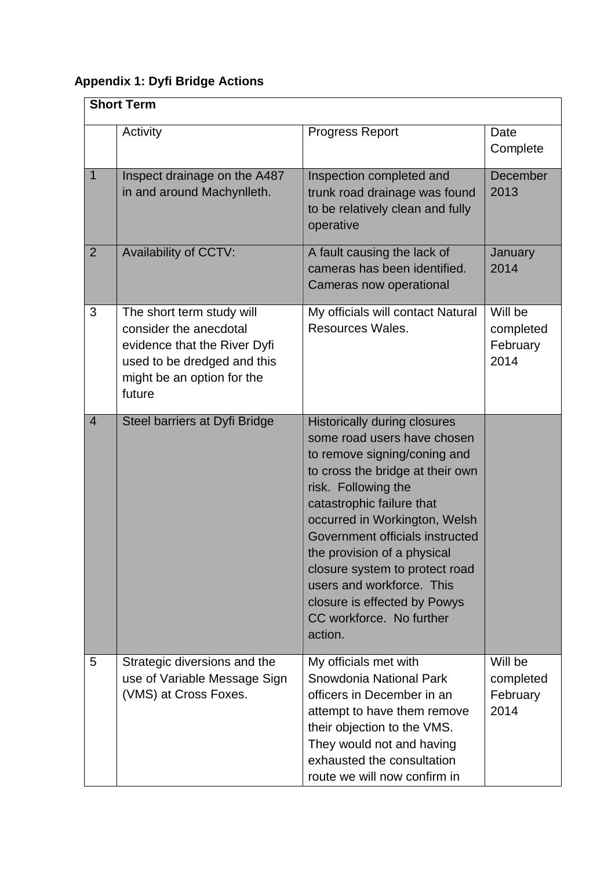## **Appendix 1: Dyfi Bridge Actions**

| <b>Short Term</b> |                                                                                                                                                            |                                                                                                                                                                                                                                                                                                                                                                                                                                     |                                          |
|-------------------|------------------------------------------------------------------------------------------------------------------------------------------------------------|-------------------------------------------------------------------------------------------------------------------------------------------------------------------------------------------------------------------------------------------------------------------------------------------------------------------------------------------------------------------------------------------------------------------------------------|------------------------------------------|
|                   | Activity                                                                                                                                                   | <b>Progress Report</b>                                                                                                                                                                                                                                                                                                                                                                                                              | Date<br>Complete                         |
| $\mathbf{1}$      | Inspect drainage on the A487<br>in and around Machynlleth.                                                                                                 | Inspection completed and<br>trunk road drainage was found<br>to be relatively clean and fully<br>operative                                                                                                                                                                                                                                                                                                                          | December<br>2013                         |
| $\overline{2}$    | Availability of CCTV:                                                                                                                                      | A fault causing the lack of<br>cameras has been identified.<br>Cameras now operational                                                                                                                                                                                                                                                                                                                                              | January<br>2014                          |
| 3                 | The short term study will<br>consider the anecdotal<br>evidence that the River Dyfi<br>used to be dredged and this<br>might be an option for the<br>future | My officials will contact Natural<br>Resources Wales.                                                                                                                                                                                                                                                                                                                                                                               | Will be<br>completed<br>February<br>2014 |
| $\overline{4}$    | Steel barriers at Dyfi Bridge                                                                                                                              | <b>Historically during closures</b><br>some road users have chosen<br>to remove signing/coning and<br>to cross the bridge at their own<br>risk. Following the<br>catastrophic failure that<br>occurred in Workington, Welsh<br>Government officials instructed<br>the provision of a physical<br>closure system to protect road<br>users and workforce. This<br>closure is effected by Powys<br>CC workforce. No further<br>action. |                                          |
| 5                 | Strategic diversions and the<br>use of Variable Message Sign<br>(VMS) at Cross Foxes.                                                                      | My officials met with<br>Snowdonia National Park<br>officers in December in an<br>attempt to have them remove<br>their objection to the VMS.<br>They would not and having<br>exhausted the consultation<br>route we will now confirm in                                                                                                                                                                                             | Will be<br>completed<br>February<br>2014 |